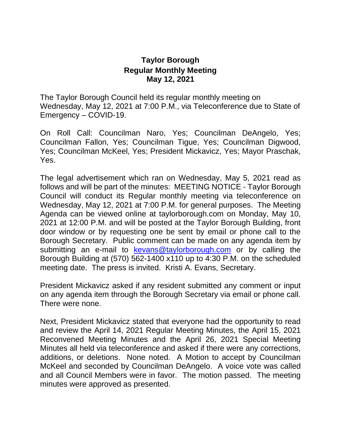## **Taylor Borough Regular Monthly Meeting May 12, 2021**

The Taylor Borough Council held its regular monthly meeting on Wednesday, May 12, 2021 at 7:00 P.M., via Teleconference due to State of Emergency – COVID-19.

On Roll Call: Councilman Naro, Yes; Councilman DeAngelo, Yes; Councilman Fallon, Yes; Councilman Tigue, Yes; Councilman Digwood, Yes; Councilman McKeel, Yes; President Mickavicz, Yes; Mayor Praschak, Yes.

The legal advertisement which ran on Wednesday, May 5, 2021 read as follows and will be part of the minutes: MEETING NOTICE - Taylor Borough Council will conduct its Regular monthly meeting via teleconference on Wednesday, May 12, 2021 at 7:00 P.M. for general purposes. The Meeting Agenda can be viewed online at taylorborough.com on Monday, May 10, 2021 at 12:00 P.M. and will be posted at the Taylor Borough Building, front door window or by requesting one be sent by email or phone call to the Borough Secretary. Public comment can be made on any agenda item by submitting an e-mail to [kevans@taylorborough.com](mailto:kevans@taylorborough.com) or by calling the Borough Building at (570) 562-1400 x110 up to 4:30 P.M. on the scheduled meeting date. The press is invited. Kristi A. Evans, Secretary.

President Mickavicz asked if any resident submitted any comment or input on any agenda item through the Borough Secretary via email or phone call. There were none.

Next, President Mickavicz stated that everyone had the opportunity to read and review the April 14, 2021 Regular Meeting Minutes, the April 15, 2021 Reconvened Meeting Minutes and the April 26, 2021 Special Meeting Minutes all held via teleconference and asked if there were any corrections, additions, or deletions. None noted. A Motion to accept by Councilman McKeel and seconded by Councilman DeAngelo. A voice vote was called and all Council Members were in favor. The motion passed. The meeting minutes were approved as presented.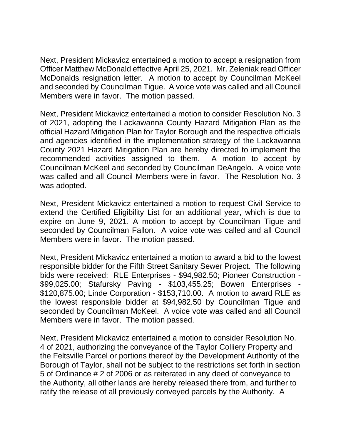Next, President Mickavicz entertained a motion to accept a resignation from Officer Matthew McDonald effective April 25, 2021. Mr. Zeleniak read Officer McDonalds resignation letter. A motion to accept by Councilman McKeel and seconded by Councilman Tigue. A voice vote was called and all Council Members were in favor. The motion passed.

Next, President Mickavicz entertained a motion to consider Resolution No. 3 of 2021, adopting the Lackawanna County Hazard Mitigation Plan as the official Hazard Mitigation Plan for Taylor Borough and the respective officials and agencies identified in the implementation strategy of the Lackawanna County 2021 Hazard Mitigation Plan are hereby directed to implement the recommended activities assigned to them. A motion to accept by Councilman McKeel and seconded by Councilman DeAngelo. A voice vote was called and all Council Members were in favor. The Resolution No. 3 was adopted.

Next, President Mickavicz entertained a motion to request Civil Service to extend the Certified Eligibility List for an additional year, which is due to expire on June 9, 2021. A motion to accept by Councilman Tigue and seconded by Councilman Fallon. A voice vote was called and all Council Members were in favor. The motion passed.

Next, President Mickavicz entertained a motion to award a bid to the lowest responsible bidder for the Fifth Street Sanitary Sewer Project. The following bids were received: RLE Enterprises - \$94,982.50; Pioneer Construction - \$99,025.00; Stafursky Paving - \$103,455.25; Bowen Enterprises - \$120,875.00; Linde Corporation - \$153,710.00. A motion to award RLE as the lowest responsible bidder at \$94,982.50 by Councilman Tigue and seconded by Councilman McKeel. A voice vote was called and all Council Members were in favor. The motion passed.

Next, President Mickavicz entertained a motion to consider Resolution No. 4 of 2021, authorizing the conveyance of the Taylor Colliery Property and the Feltsville Parcel or portions thereof by the Development Authority of the Borough of Taylor, shall not be subject to the restrictions set forth in section 5 of Ordinance # 2 of 2006 or as reiterated in any deed of conveyance to the Authority, all other lands are hereby released there from, and further to ratify the release of all previously conveyed parcels by the Authority. A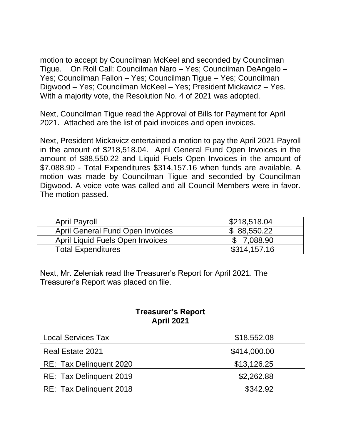motion to accept by Councilman McKeel and seconded by Councilman Tigue. On Roll Call: Councilman Naro – Yes; Councilman DeAngelo – Yes; Councilman Fallon – Yes; Councilman Tigue – Yes; Councilman Digwood – Yes; Councilman McKeel – Yes; President Mickavicz – Yes. With a majority vote, the Resolution No. 4 of 2021 was adopted.

Next, Councilman Tigue read the Approval of Bills for Payment for April 2021. Attached are the list of paid invoices and open invoices.

Next, President Mickavicz entertained a motion to pay the April 2021 Payroll in the amount of \$218,518.04. April General Fund Open Invoices in the amount of \$88,550.22 and Liquid Fuels Open Invoices in the amount of \$7,088.90 - Total Expenditures \$314,157.16 when funds are available. A motion was made by Councilman Tigue and seconded by Councilman Digwood. A voice vote was called and all Council Members were in favor. The motion passed.

| <b>April Payroll</b>                    | \$218,518.04 |
|-----------------------------------------|--------------|
| <b>April General Fund Open Invoices</b> | \$88,550.22  |
| April Liquid Fuels Open Invoices        | \$7,088.90   |
| <b>Total Expenditures</b>               | \$314,157.16 |

Next, Mr. Zeleniak read the Treasurer's Report for April 2021. The Treasurer's Report was placed on file.

## **Treasurer's Report April 2021**

| <b>Local Services Tax</b> | \$18,552.08  |
|---------------------------|--------------|
| Real Estate 2021          | \$414,000.00 |
| RE: Tax Delinguent 2020   | \$13,126.25  |
| RE: Tax Delinguent 2019   | \$2,262.88   |
| RE: Tax Delinquent 2018   | \$342.92     |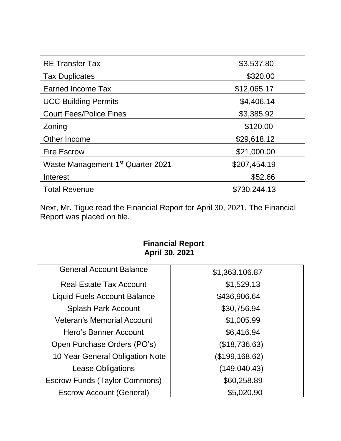| <b>RE Transfer Tax</b>                        | \$3,537.80   |
|-----------------------------------------------|--------------|
| <b>Tax Duplicates</b>                         | \$320.00     |
| Earned Income Tax                             | \$12,065.17  |
| <b>UCC Building Permits</b>                   | \$4,406.14   |
| <b>Court Fees/Police Fines</b>                | \$3,385.92   |
| Zoning                                        | \$120.00     |
| Other Income                                  | \$29,618.12  |
| <b>Fire Escrow</b>                            | \$21,000.00  |
| Waste Management 1 <sup>st</sup> Quarter 2021 | \$207,454.19 |
| Interest                                      | \$52.66      |
| <b>Total Revenue</b>                          | \$730,244.13 |

Next, Mr. Tigue read the Financial Report for April 30, 2021. The Financial Report was placed on file.

## **Financial Report April 30, 2021**

| <b>General Account Balance</b>       | \$1,363.106.87 |  |
|--------------------------------------|----------------|--|
| <b>Real Estate Tax Account</b>       | \$1,529.13     |  |
| <b>Liquid Fuels Account Balance</b>  | \$436,906.64   |  |
| <b>Splash Park Account</b>           | \$30,756.94    |  |
| <b>Veteran's Memorial Account</b>    | \$1,005.99     |  |
| Hero's Banner Account                | \$6,416.94     |  |
| Open Purchase Orders (PO's)          | (\$18,736.63)  |  |
| 10 Year General Obligation Note      | (\$199,168.62) |  |
| <b>Lease Obligations</b>             | (149,040.43)   |  |
| <b>Escrow Funds (Taylor Commons)</b> | \$60,258.89    |  |
| <b>Escrow Account (General)</b>      | \$5,020.90     |  |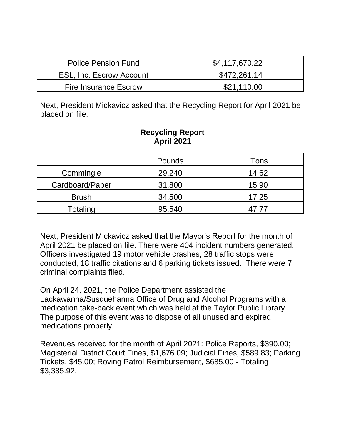| <b>Police Pension Fund</b>      | \$4,117,670.22 |
|---------------------------------|----------------|
| <b>ESL, Inc. Escrow Account</b> | \$472,261.14   |
| <b>Fire Insurance Escrow</b>    | \$21.110.00    |

Next, President Mickavicz asked that the Recycling Report for April 2021 be placed on file.

## **Recycling Report April 2021**

|                 | <b>Pounds</b> | Tons  |
|-----------------|---------------|-------|
| Commingle       | 29,240        | 14.62 |
| Cardboard/Paper | 31,800        | 15.90 |
| <b>Brush</b>    | 34,500        | 17.25 |
| Totaling        | 95,540        | 47.77 |

Next, President Mickavicz asked that the Mayor's Report for the month of April 2021 be placed on file. There were 404 incident numbers generated. Officers investigated 19 motor vehicle crashes, 28 traffic stops were conducted, 18 traffic citations and 6 parking tickets issued. There were 7 criminal complaints filed.

On April 24, 2021, the Police Department assisted the Lackawanna/Susquehanna Office of Drug and Alcohol Programs with a medication take-back event which was held at the Taylor Public Library. The purpose of this event was to dispose of all unused and expired medications properly.

Revenues received for the month of April 2021: Police Reports, \$390.00; Magisterial District Court Fines, \$1,676.09; Judicial Fines, \$589.83; Parking Tickets, \$45.00; Roving Patrol Reimbursement, \$685.00 - Totaling \$3,385.92.